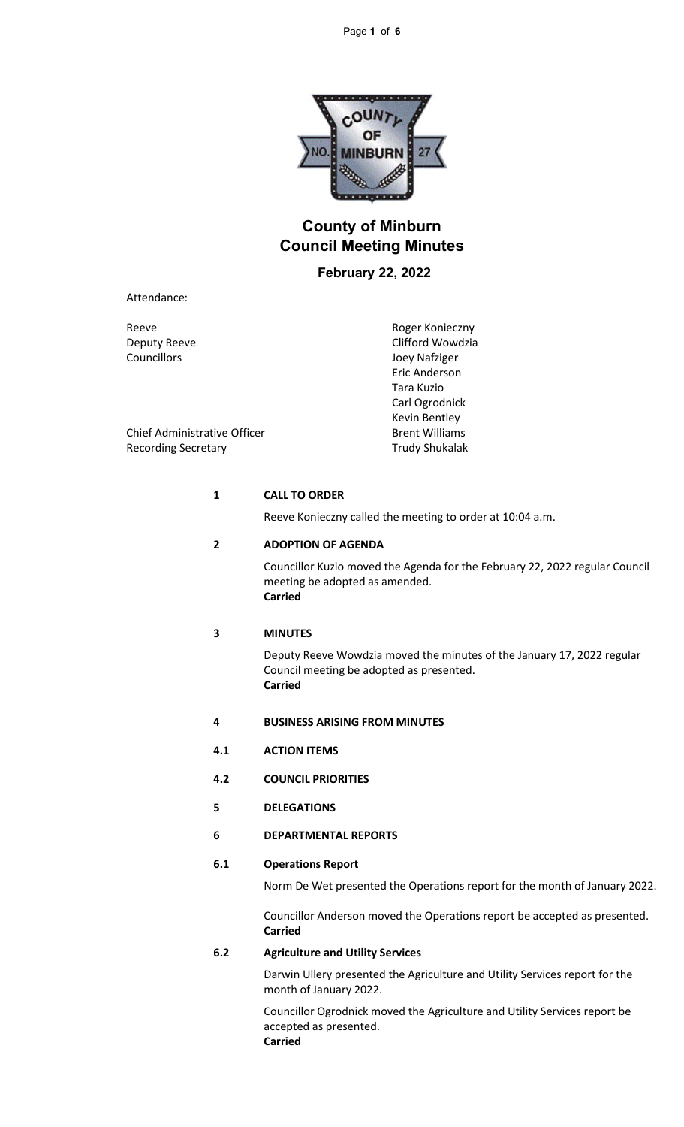

# **County of Minburn Council Meeting Minutes**

## **February 22, 2022**

Attendance:

Reeve Reeve Roger Konieczny Deputy Reeve Clifford Wowdzia Councillors Joey Nafziger Eric Anderson Tara Kuzio Carl Ogrodnick Kevin Bentley

Chief Administrative Officer **Brent Williams** Recording Secretary Trudy Shukalak

### **1 CALL TO ORDER**

Reeve Konieczny called the meeting to order at 10:04 a.m.

### **2 ADOPTION OF AGENDA**

Councillor Kuzio moved the Agenda for the February 22, 2022 regular Council meeting be adopted as amended. **Carried**

### **3 MINUTES**

Deputy Reeve Wowdzia moved the minutes of the January 17, 2022 regular Council meeting be adopted as presented. **Carried**

- **4 BUSINESS ARISING FROM MINUTES**
- **4.1 ACTION ITEMS**
- **4.2 COUNCIL PRIORITIES**
- **5 DELEGATIONS**
- **6 DEPARTMENTAL REPORTS**

## **6.1 Operations Report**

Norm De Wet presented the Operations report for the month of January 2022.

Councillor Anderson moved the Operations report be accepted as presented. **Carried**

### **6.2 Agriculture and Utility Services**

Darwin Ullery presented the Agriculture and Utility Services report for the month of January 2022.

Councillor Ogrodnick moved the Agriculture and Utility Services report be accepted as presented.

**Carried**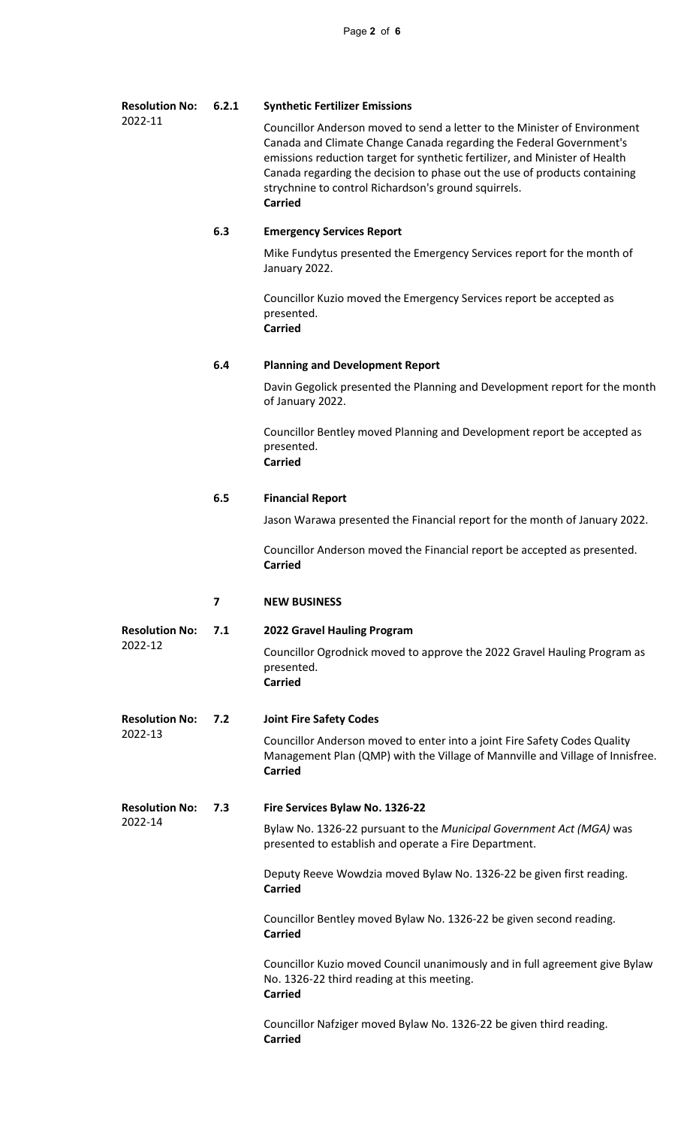#### **Resolution No:** 2022-11 **6.2.1 Synthetic Fertilizer Emissions**

Councillor Anderson moved to send a letter to the Minister of Environment Canada and Climate Change Canada regarding the Federal Government's emissions reduction target for synthetic fertilizer, and Minister of Health Canada regarding the decision to phase out the use of products containing strychnine to control Richardson's ground squirrels. **Carried**

## **6.3 Emergency Services Report**

Mike Fundytus presented the Emergency Services report for the month of January 2022.

Councillor Kuzio moved the Emergency Services report be accepted as presented. **Carried**

## **6.4 Planning and Development Report**

Davin Gegolick presented the Planning and Development report for the month of January 2022.

Councillor Bentley moved Planning and Development report be accepted as presented. **Carried**

### **6.5 Financial Report**

Jason Warawa presented the Financial report for the month of January 2022.

Councillor Anderson moved the Financial report be accepted as presented. **Carried**

### **7 NEW BUSINESS**

**Resolution No:** 2022-12 **7.1 2022 Gravel Hauling Program** Councillor Ogrodnick moved to approve the 2022 Gravel Hauling Program as presented. **Carried**

#### **Resolution No:** 2022-13 **7.2 Joint Fire Safety Codes**

Councillor Anderson moved to enter into a joint Fire Safety Codes Quality Management Plan (QMP) with the Village of Mannville and Village of Innisfree. **Carried**

#### **Resolution No: 7.3 Fire Services Bylaw No. 1326-22**

2022-14

Bylaw No. 1326-22 pursuant to the *Municipal Government Act (MGA)* was presented to establish and operate a Fire Department.

Deputy Reeve Wowdzia moved Bylaw No. 1326-22 be given first reading. **Carried**

Councillor Bentley moved Bylaw No. 1326-22 be given second reading. **Carried**

Councillor Kuzio moved Council unanimously and in full agreement give Bylaw No. 1326-22 third reading at this meeting. **Carried**

Councillor Nafziger moved Bylaw No. 1326-22 be given third reading. **Carried**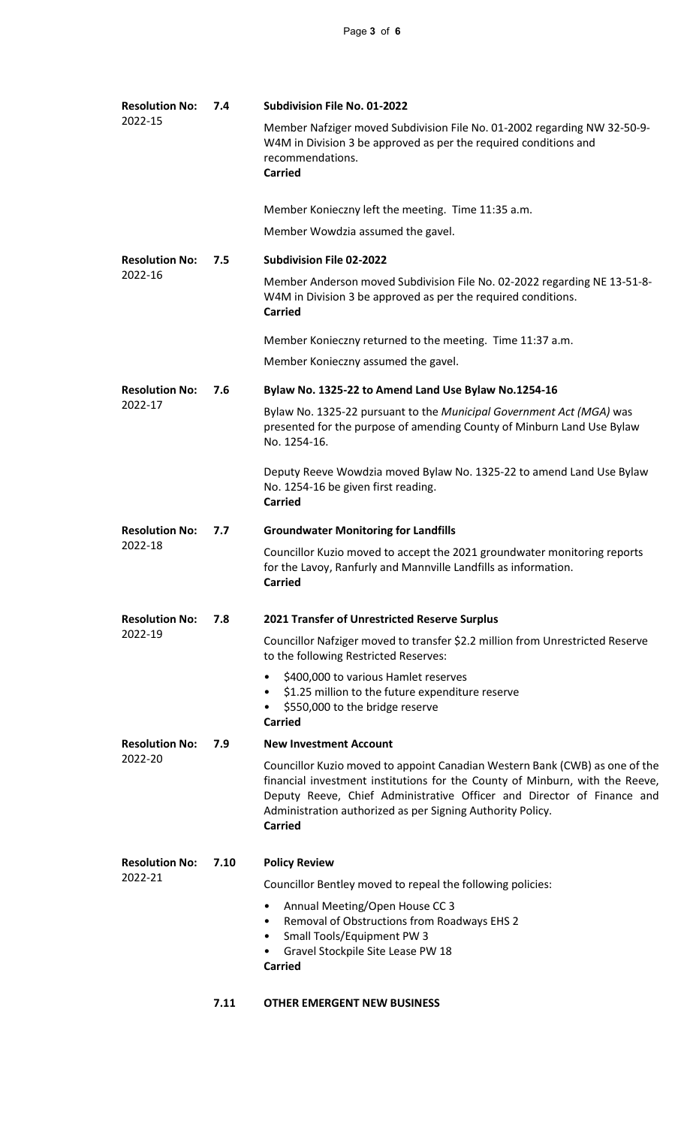| <b>Resolution No:</b><br>2022-15 | 7.4  | Subdivision File No. 01-2022                                                                                                                                                                                                                                                                                          |
|----------------------------------|------|-----------------------------------------------------------------------------------------------------------------------------------------------------------------------------------------------------------------------------------------------------------------------------------------------------------------------|
|                                  |      | Member Nafziger moved Subdivision File No. 01-2002 regarding NW 32-50-9-<br>W4M in Division 3 be approved as per the required conditions and<br>recommendations.<br><b>Carried</b>                                                                                                                                    |
|                                  |      | Member Konieczny left the meeting. Time 11:35 a.m.                                                                                                                                                                                                                                                                    |
|                                  |      | Member Wowdzia assumed the gavel.                                                                                                                                                                                                                                                                                     |
| <b>Resolution No:</b><br>2022-16 | 7.5  | <b>Subdivision File 02-2022</b>                                                                                                                                                                                                                                                                                       |
|                                  |      | Member Anderson moved Subdivision File No. 02-2022 regarding NE 13-51-8-<br>W4M in Division 3 be approved as per the required conditions.<br><b>Carried</b>                                                                                                                                                           |
|                                  |      | Member Konieczny returned to the meeting. Time 11:37 a.m.                                                                                                                                                                                                                                                             |
|                                  |      | Member Konieczny assumed the gavel.                                                                                                                                                                                                                                                                                   |
| <b>Resolution No:</b><br>2022-17 | 7.6  | Bylaw No. 1325-22 to Amend Land Use Bylaw No.1254-16                                                                                                                                                                                                                                                                  |
|                                  |      | Bylaw No. 1325-22 pursuant to the Municipal Government Act (MGA) was<br>presented for the purpose of amending County of Minburn Land Use Bylaw<br>No. 1254-16.                                                                                                                                                        |
|                                  |      | Deputy Reeve Wowdzia moved Bylaw No. 1325-22 to amend Land Use Bylaw<br>No. 1254-16 be given first reading.<br><b>Carried</b>                                                                                                                                                                                         |
| <b>Resolution No:</b><br>2022-18 | 7.7  | <b>Groundwater Monitoring for Landfills</b>                                                                                                                                                                                                                                                                           |
|                                  |      | Councillor Kuzio moved to accept the 2021 groundwater monitoring reports<br>for the Lavoy, Ranfurly and Mannville Landfills as information.<br><b>Carried</b>                                                                                                                                                         |
| <b>Resolution No:</b><br>2022-19 | 7.8  | 2021 Transfer of Unrestricted Reserve Surplus                                                                                                                                                                                                                                                                         |
|                                  |      | Councillor Nafziger moved to transfer \$2.2 million from Unrestricted Reserve<br>to the following Restricted Reserves:                                                                                                                                                                                                |
|                                  |      | \$400,000 to various Hamlet reserves<br>٠<br>\$1.25 million to the future expenditure reserve<br>٠<br>\$550,000 to the bridge reserve<br>$\bullet$<br><b>Carried</b>                                                                                                                                                  |
| <b>Resolution No:</b><br>2022-20 | 7.9  | <b>New Investment Account</b>                                                                                                                                                                                                                                                                                         |
|                                  |      | Councillor Kuzio moved to appoint Canadian Western Bank (CWB) as one of the<br>financial investment institutions for the County of Minburn, with the Reeve,<br>Deputy Reeve, Chief Administrative Officer and Director of Finance and<br>Administration authorized as per Signing Authority Policy.<br><b>Carried</b> |
| <b>Resolution No:</b><br>2022-21 | 7.10 | <b>Policy Review</b>                                                                                                                                                                                                                                                                                                  |
|                                  |      | Councillor Bentley moved to repeal the following policies:                                                                                                                                                                                                                                                            |
|                                  |      | Annual Meeting/Open House CC 3<br>$\bullet$<br>Removal of Obstructions from Roadways EHS 2<br>$\bullet$<br>Small Tools/Equipment PW 3<br>$\bullet$<br>Gravel Stockpile Site Lease PW 18<br>٠<br><b>Carried</b>                                                                                                        |
|                                  |      |                                                                                                                                                                                                                                                                                                                       |
|                                  | 7.11 | <b>OTHER EMERGENT NEW BUSINESS</b>                                                                                                                                                                                                                                                                                    |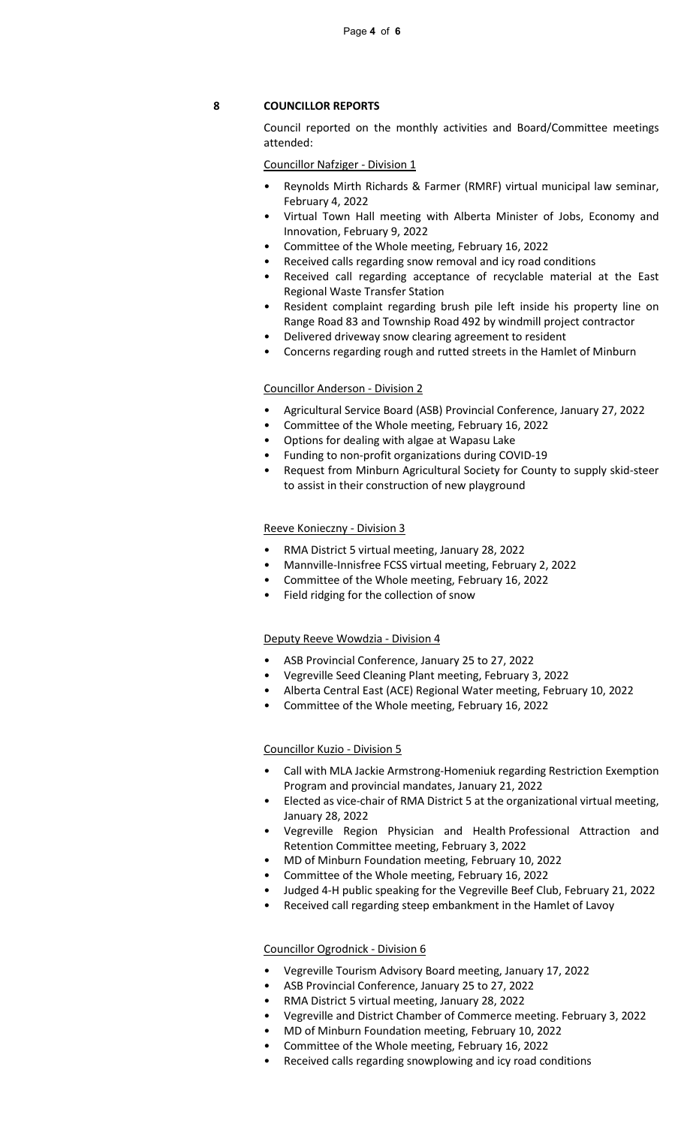## **8 COUNCILLOR REPORTS**

Council reported on the monthly activities and Board/Committee meetings attended:

Councillor Nafziger - Division 1

- Reynolds Mirth Richards & Farmer (RMRF) virtual municipal law seminar, February 4, 2022
- Virtual Town Hall meeting with Alberta Minister of Jobs, Economy and Innovation, February 9, 2022
- Committee of the Whole meeting, February 16, 2022
- Received calls regarding snow removal and icy road conditions
- Received call regarding acceptance of recyclable material at the East Regional Waste Transfer Station
- Resident complaint regarding brush pile left inside his property line on Range Road 83 and Township Road 492 by windmill project contractor
- Delivered driveway snow clearing agreement to resident
- Concerns regarding rough and rutted streets in the Hamlet of Minburn

### Councillor Anderson - Division 2

- Agricultural Service Board (ASB) Provincial Conference, January 27, 2022
- Committee of the Whole meeting, February 16, 2022
- Options for dealing with algae at Wapasu Lake
- Funding to non-profit organizations during COVID-19
- Request from Minburn Agricultural Society for County to supply skid-steer to assist in their construction of new playground

### Reeve Konieczny - Division 3

- RMA District 5 virtual meeting, January 28, 2022
- Mannville-Innisfree FCSS virtual meeting, February 2, 2022
- Committee of the Whole meeting, February 16, 2022
- Field ridging for the collection of snow

### Deputy Reeve Wowdzia - Division 4

- ASB Provincial Conference, January 25 to 27, 2022
- Vegreville Seed Cleaning Plant meeting, February 3, 2022
- Alberta Central East (ACE) Regional Water meeting, February 10, 2022
- Committee of the Whole meeting, February 16, 2022

#### Councillor Kuzio - Division 5

- Call with MLA Jackie Armstrong-Homeniuk regarding Restriction Exemption Program and provincial mandates, January 21, 2022
- Elected as vice-chair of RMA District 5 at the organizational virtual meeting, January 28, 2022
- Vegreville Region Physician and Health Professional Attraction and Retention Committee meeting, February 3, 2022
- MD of Minburn Foundation meeting, February 10, 2022
- Committee of the Whole meeting, February 16, 2022
- Judged 4-H public speaking for the Vegreville Beef Club, February 21, 2022
- Received call regarding steep embankment in the Hamlet of Lavoy

### Councillor Ogrodnick - Division 6

- Vegreville Tourism Advisory Board meeting, January 17, 2022
- ASB Provincial Conference, January 25 to 27, 2022
- RMA District 5 virtual meeting, January 28, 2022
- Vegreville and District Chamber of Commerce meeting. February 3, 2022
- MD of Minburn Foundation meeting, February 10, 2022
- Committee of the Whole meeting, February 16, 2022
- Received calls regarding snowplowing and icy road conditions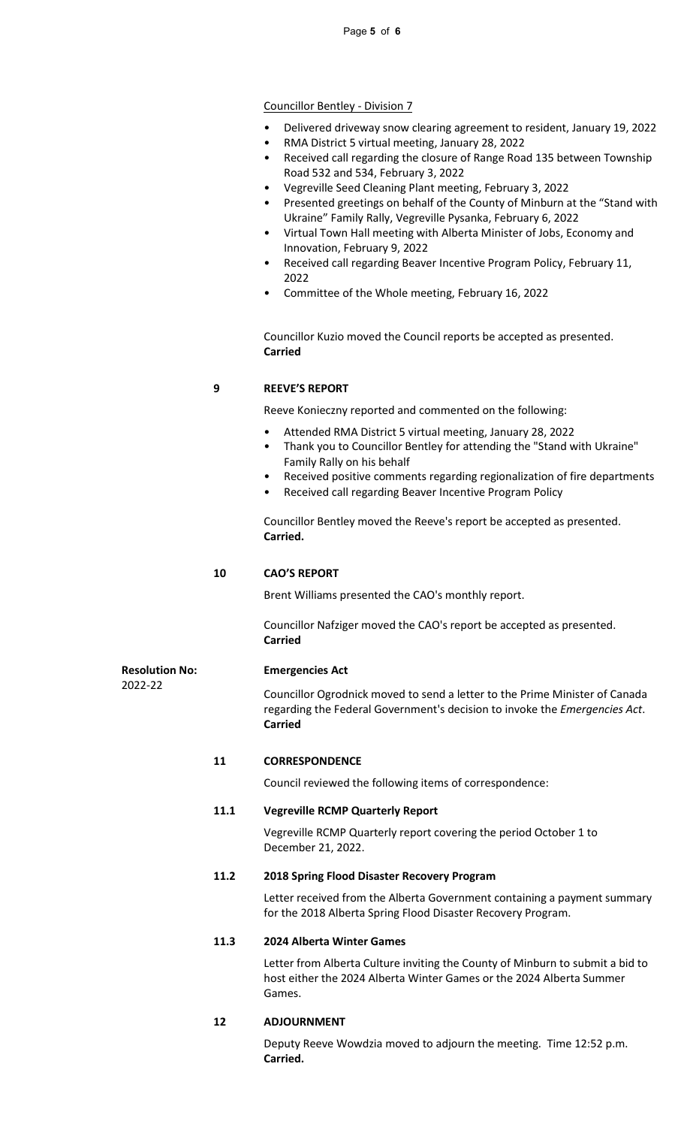### Councillor Bentley - Division 7

- Delivered driveway snow clearing agreement to resident, January 19, 2022
- RMA District 5 virtual meeting, January 28, 2022
- Received call regarding the closure of Range Road 135 between Township Road 532 and 534, February 3, 2022
- Vegreville Seed Cleaning Plant meeting, February 3, 2022
- Presented greetings on behalf of the County of Minburn at the "Stand with Ukraine" Family Rally, Vegreville Pysanka, February 6, 2022
- Virtual Town Hall meeting with Alberta Minister of Jobs, Economy and Innovation, February 9, 2022
- Received call regarding Beaver Incentive Program Policy, February 11, 2022
- Committee of the Whole meeting, February 16, 2022

Councillor Kuzio moved the Council reports be accepted as presented. **Carried**

### **9 REEVE'S REPORT**

Reeve Konieczny reported and commented on the following:

- Attended RMA District 5 virtual meeting, January 28, 2022
- Thank you to Councillor Bentley for attending the "Stand with Ukraine" Family Rally on his behalf
- Received positive comments regarding regionalization of fire departments
- Received call regarding Beaver Incentive Program Policy

Councillor Bentley moved the Reeve's report be accepted as presented. **Carried.**

### **10 CAO'S REPORT**

Brent Williams presented the CAO's monthly report.

Councillor Nafziger moved the CAO's report be accepted as presented. **Carried**

#### **Resolution No: Emergencies Act**

2022-22

Councillor Ogrodnick moved to send a letter to the Prime Minister of Canada regarding the Federal Government's decision to invoke the *Emergencies Act*. **Carried**

### **11 CORRESPONDENCE**

Council reviewed the following items of correspondence:

### **11.1 Vegreville RCMP Quarterly Report**

Vegreville RCMP Quarterly report covering the period October 1 to December 21, 2022.

### **11.2 2018 Spring Flood Disaster Recovery Program**

Letter received from the Alberta Government containing a payment summary for the 2018 Alberta Spring Flood Disaster Recovery Program.

### **11.3 2024 Alberta Winter Games**

Letter from Alberta Culture inviting the County of Minburn to submit a bid to host either the 2024 Alberta Winter Games or the 2024 Alberta Summer Games.

### **12 ADJOURNMENT**

Deputy Reeve Wowdzia moved to adjourn the meeting. Time 12:52 p.m. **Carried.**